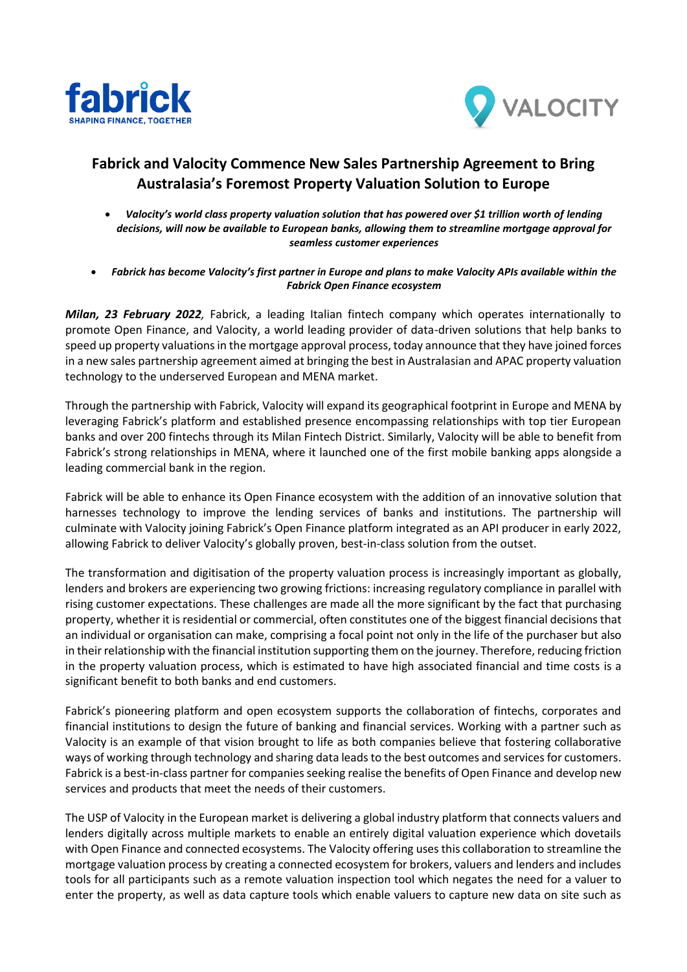



## **Fabrick and Valocity Commence New Sales Partnership Agreement to Bring Australasia's Foremost Property Valuation Solution to Europe**

- *Valocity's world class property valuation solution that has powered over \$1 trillion worth of lending decisions, will now be available to European banks, allowing them to streamline mortgage approval for seamless customer experiences*
- *Fabrick has become Valocity's first partner in Europe and plans to make Valocity APIs available within the Fabrick Open Finance ecosystem*

*Milan, 23 February 2022,* Fabrick, a leading Italian fintech company which operates internationally to promote Open Finance, and Valocity, a world leading provider of data-driven solutions that help banks to speed up property valuations in the mortgage approval process, today announce that they have joined forces in a new sales partnership agreement aimed at bringing the best in Australasian and APAC property valuation technology to the underserved European and MENA market.

Through the partnership with Fabrick, Valocity will expand its geographical footprint in Europe and MENA by leveraging Fabrick's platform and established presence encompassing relationships with top tier European banks and over 200 fintechs through its Milan Fintech District. Similarly, Valocity will be able to benefit from Fabrick's strong relationships in MENA, where it launched one of the first mobile banking apps alongside a leading commercial bank in the region.

Fabrick will be able to enhance its Open Finance ecosystem with the addition of an innovative solution that harnesses technology to improve the lending services of banks and institutions. The partnership will culminate with Valocity joining Fabrick's Open Finance platform integrated as an API producer in early 2022, allowing Fabrick to deliver Valocity's globally proven, best-in-class solution from the outset.

The transformation and digitisation of the property valuation process is increasingly important as globally, lenders and brokers are experiencing two growing frictions: increasing regulatory compliance in parallel with rising customer expectations. These challenges are made all the more significant by the fact that purchasing property, whether it is residential or commercial, often constitutes one of the biggest financial decisions that an individual or organisation can make, comprising a focal point not only in the life of the purchaser but also in their relationship with the financial institution supporting them on the journey. Therefore, reducing friction in the property valuation process, which is estimated to have high associated financial and time costs is a significant benefit to both banks and end customers.

Fabrick's pioneering platform and open ecosystem supports the collaboration of fintechs, corporates and financial institutions to design the future of banking and financial services. Working with a partner such as Valocity is an example of that vision brought to life as both companies believe that fostering collaborative ways of working through technology and sharing data leads to the best outcomes and services for customers. Fabrick is a best-in-class partner for companies seeking realise the benefits of Open Finance and develop new services and products that meet the needs of their customers.

The USP of Valocity in the European market is delivering a global industry platform that connects valuers and lenders digitally across multiple markets to enable an entirely digital valuation experience which dovetails with Open Finance and connected ecosystems. The Valocity offering uses this collaboration to streamline the mortgage valuation process by creating a connected ecosystem for brokers, valuers and lenders and includes tools for all participants such as a remote valuation inspection tool which negates the need for a valuer to enter the property, as well as data capture tools which enable valuers to capture new data on site such as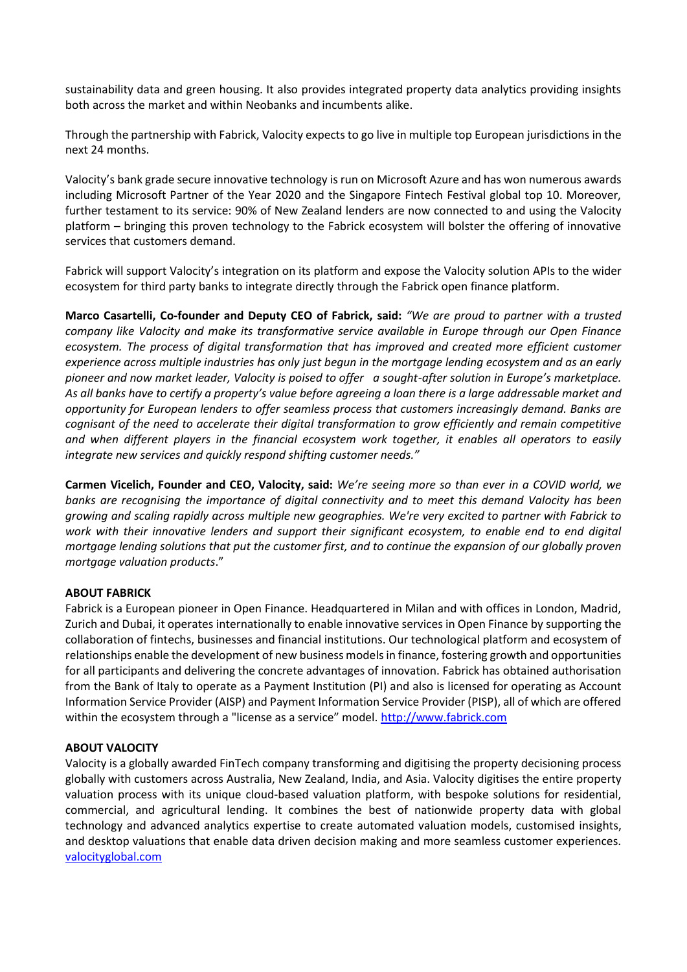sustainability data and green housing. It also provides integrated property data analytics providing insights both across the market and within Neobanks and incumbents alike.

Through the partnership with Fabrick, Valocity expects to go live in multiple top European jurisdictions in the next 24 months.

Valocity's bank grade secure innovative technology is run on Microsoft Azure and has won numerous awards including Microsoft Partner of the Year 2020 and the Singapore Fintech Festival global top 10. Moreover, further testament to its service: 90% of New Zealand lenders are now connected to and using the Valocity platform – bringing this proven technology to the Fabrick ecosystem will bolster the offering of innovative services that customers demand.

Fabrick will support Valocity's integration on its platform and expose the Valocity solution APIs to the wider ecosystem for third party banks to integrate directly through the Fabrick open finance platform.

**Marco Casartelli, Co-founder and Deputy CEO of Fabrick, said:** *"We are proud to partner with a trusted company like Valocity and make its transformative service available in Europe through our Open Finance ecosystem. The process of digital transformation that has improved and created more efficient customer experience across multiple industries has only just begun in the mortgage lending ecosystem and as an early pioneer and now market leader, Valocity is poised to offer a sought-after solution in Europe's marketplace. As all banks have to certify a property's value before agreeing a loan there is a large addressable market and opportunity for European lenders to offer seamless process that customers increasingly demand. Banks are cognisant of the need to accelerate their digital transformation to grow efficiently and remain competitive and when different players in the financial ecosystem work together, it enables all operators to easily integrate new services and quickly respond shifting customer needs."*

**Carmen Vicelich, Founder and CEO, Valocity, said:** *We're seeing more so than ever in a COVID world, we banks are recognising the importance of digital connectivity and to meet this demand Valocity has been growing and scaling rapidly across multiple new geographies. We're very excited to partner with Fabrick to work with their innovative lenders and support their significant ecosystem, to enable end to end digital mortgage lending solutions that put the customer first, and to continue the expansion of our globally proven mortgage valuation products*."

## **ABOUT FABRICK**

Fabrick is a European pioneer in Open Finance. Headquartered in Milan and with offices in London, Madrid, Zurich and Dubai, it operates internationally to enable innovative services in Open Finance by supporting the collaboration of fintechs, businesses and financial institutions. Our technological platform and ecosystem of relationships enable the development of new business models in finance, fostering growth and opportunities for all participants and delivering the concrete advantages of innovation. Fabrick has obtained authorisation from the Bank of Italy to operate as a Payment Institution (PI) and also is licensed for operating as Account Information Service Provider (AISP) and Payment Information Service Provider (PISP), all of which are offered within the ecosystem through a "license as a service" model. [http://www.fabrick.com](http://www.fabrick.com/)

## **ABOUT VALOCITY**

Valocity is a globally awarded FinTech company transforming and digitising the property decisioning process globally with customers across Australia, New Zealand, India, and Asia. Valocity digitises the entire property valuation process with its unique cloud-based valuation platform, with bespoke solutions for residential, commercial, and agricultural lending. It combines the best of nationwide property data with global technology and advanced analytics expertise to create automated valuation models, customised insights, and desktop valuations that enable data driven decision making and more seamless customer experiences. [valocityglobal.com](https://www.valocityglobal.com/)